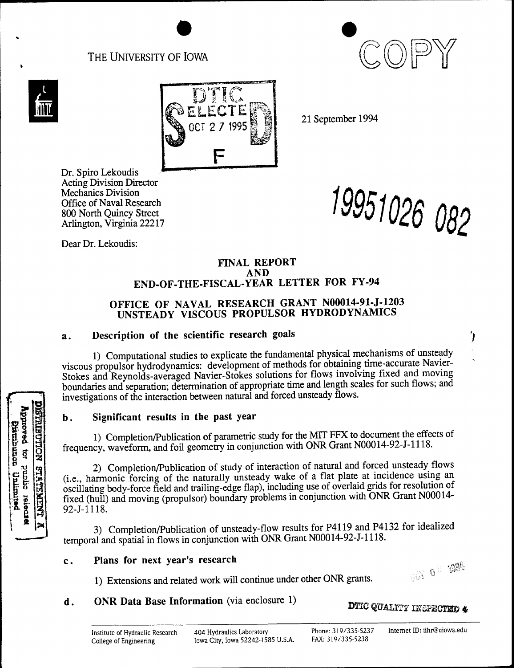# THE UNIVERSITY OF IOWA





Approved tor public release

pandand

poliminal

**NOLLOSITIST** 

**STRIPALINI** 



21 September 1994

Dr. Spiro Lekoudis Acting Division Director Mechanics Division Office of Naval Research 800 North Quincy Street Arlington, Virginia 22217

*19951026*

Dear Dr. Lekoudis:

### **FINAL REPORT AND END-OF-THE-FISCAL-YEAR LETTER FOR FY-94**

# **OFFICE OF NAVAL RESEARCH GRANT N00014-91-J-1203 UNSTEADY VISCOUS PROPULSOR HYDRODYNAMICS**

# **a. Description of the scientific research goals**

1) Computational studies to explicate the fundamental physical mechanisms of unsteady viscous propulsor hydrodynamics: development of methods for obtaining time-accurate Navier-Stokes and Reynolds-averaged Navier-Stokes solutions for flows involving fixed and moving boundaries and separation; determination of appropriate time and length scales for such flows; and investigations of the interaction between natural and forced unsteady flows.

# **b. Significant results in the past year**

1) Completion/Publication of parametric study for the MIT FFX to document the effects of frequency, waveform, and foil geometry in conjunction with ONR Grant N00014-92-J-1118.

2) Completion/Publication of study of interaction of natural and forced unsteady flows (i.e., harmonic forcing of the naturally unsteady wake of a flat plate at incidence using an osculating body-force field and trailing-edge flap), including use of overlaid grids for resolution of fixed (hull) and moving (propulsor) boundary problems in conjunction with ONR Grant N00014- 92-J-1118.

3) Completion/Publication of unsteady-flow results for P4119 and P4132 for idealized temporal and spatial in flows in conjunction with ONR Grant N00014-92-J-l 118.

## **c. Plans for next year's research**

1) Extensions and related work will continue under other ONR grants

# **<sup>d</sup>**. **ONR Data Base Information** (via enclosure 1)



Ί,

**DTIC QUALITY INSPECTED**  $\clubsuit$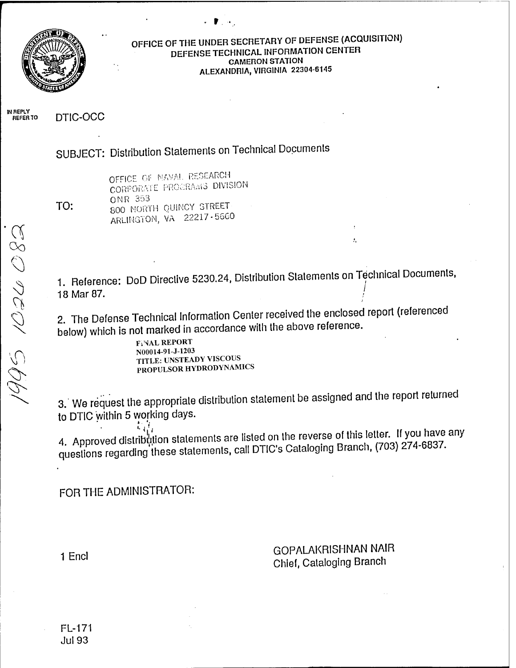

## **OFFICE OF THE UNDER SECRETARY OF DEFENSE (ACQUISITION) DEFENSE TECHNICAL INFORMATION CENTER CAMERON STATION ALEXANDRIA, VIRGINIA 22304-6145**

**IN REPLY DTIC-OCC** 

SUBJECT: Distribution Statements on Technical Documents

TO:

OFFICE OF NAVAL RESEARCH CORPORATE PROCRAMS DIVISION ONR 353 800 NORTH QUINCY STREET ARLINGTON, VA 22217-5660

1. Reference: DoD Directive 5230.24, Distribution Statements on Technical Documents, 18 Mar 87. /

2. The Defense Technical Information Center received the enclosed report (referenced below) which is not marked in accordance with the above reference.

**FINAL REPORT** N00014-91-J-1203 TITLE: UNSTEADY VISCOUS PROPULSOR HYDRODYNAMICS

3.' We request the appropriate distribution statement be assigned and the report returned to DTIC within 5 working days.

to bind minimum of the results of the reverse of this letter. If you<br>4. Approved distribution statements are listed on the reverse of this letter. If yo t returr<br>u have<br>4-6837 any questions regarding these statements, call DTIC's Cataloging Branch, (703) 274-6837.

FOR THE ADMINISTRATOR:

1 Encl<br>
1 Encl<br>
1 Encl<br>
2 GOPALAKRISHNAN NAIR Chief, Cataloging Branch

ŧ,

FL-171 Jul93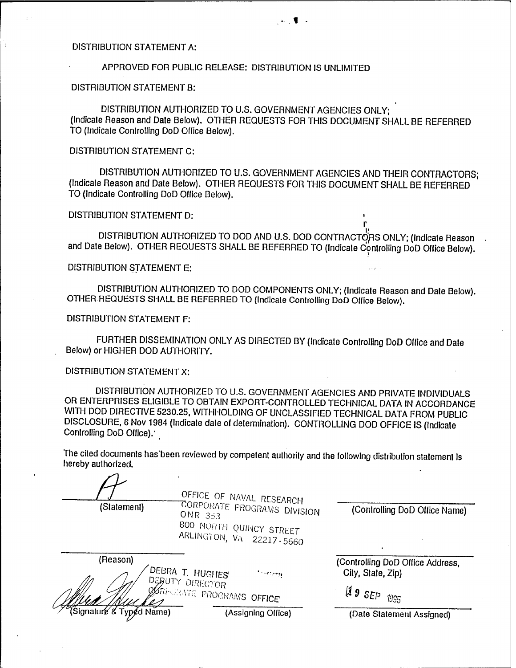#### DISTRIBUTION STATEMENT A:

#### APPROVED FOR PUBLIC RELEASE: DISTRIBUTION IS UNLIMITED

#### DISTRIBUTION STATEMENT B:

DISTRIBUTION AUTHORIZED TO U.S. GOVERNMENT AGENCIES ONLY; (Indicale Reason and Dale Below). OTHER REQUESTS FOR THIS DOCUMENT SHALL BE REFERRED TO (Indicale Controlling DoD Office Below).

### DISTRIBUTION STATEMENT C:

DISTRIBUTION AUTHORIZED TO U.S. GOVERNMENT AGENCIES AND THEIR CONTRACTORS; (Indicale Reason and Dale Below). OTHER REQUESTS FOR THIS DOCUMENT SHALL BE REFERRED TO (Indicate Controlling DoD Office Below).

#### DISTRIBUTION STATEMENT D:

DISTRIBUTION AUTHORIZED TO DOD AND U.S. DOD CONTRACTORS ONLY; (Indicate Reason and Date Below). OTHER REQUESTS SHALL BE REFERRED TO (Indicate Controlling DoD Office Below).

### DISTRIBUTION STATEMENT E:

DISTRIBUTION AUTHORIZED TO DOD COMPONENTS ONLY; (Indicate Reason and Dale Below). OTHER REQUESTS SHALL BE REFERRED TO (Indicale Controlling DoD Office Below).

DISTRIBUTION STATEMENT F:

FURTHER DISSEMINATION ONLY AS DIRECTED BY (Indicate Controlling DoD Office and Dale Below) or HIGHER DOD AUTHORITY.

### DISTRIBUTION STATEMENT X:

DISTRIBUTION AUTHORIZED TO U.S. GOVERNMENT AGENCIES AND PRIVATE INDIVIDUALS OR ENTERPRISES ELIGIBLE TO OBTAIN EXPORT-CONTROLLED TECHNICAL DATA IN ACCORDANCE WITH DOD DIRECTIVE 5230.25, WITHHOLDING OF UNCLASSIFIED TECHNICAL DATA FROM PUBLIC DISCLOSURE, 6 Nov 1984 (Indicale dale of determination). CONTROLLING DOD OFFICE IS (Indicate Controlling DoD Office).'

The cited documents has'been reviewed by competent authority and the following distribution statement is hereby aulhorized.

|                          | OFFICE OF NAVAL RESEARCH                                                                                    |                                                       |
|--------------------------|-------------------------------------------------------------------------------------------------------------|-------------------------------------------------------|
| (Statement)              | <b>CORPORATE PROGRAMS DIVISION</b><br><b>ONR 353</b><br>800 NORTH QUINCY STREET<br>ARLINGTON, VA 22217-5660 | (Controlling DoD Office Name)                         |
| (Reason)                 | DEBRA T. HUGHES<br>$\sim$ 14 maps $\mu$                                                                     | (Controlling DoD Office Address,<br>City, State, Zip) |
|                          | DEBUTY DIRECTOR<br>OURFORATE PROGRAMS OFFICE                                                                | $\mathfrak{ls}$ 9 SEP<br>1995                         |
| (Signature & Typed Name) | (Assigning Office)                                                                                          | (Date Statement Assigned)                             |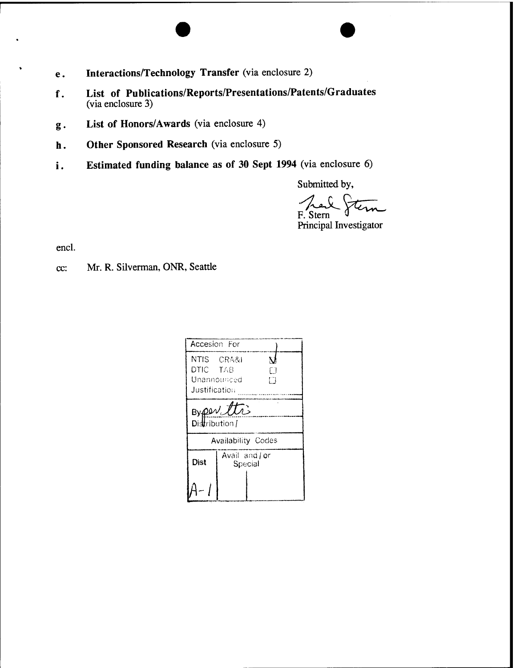- **e. Interactions/Technology Transfer** (via enclosure 2)
- **f. List of Publications/Reports/Presentations/Patents/Graduates** (via enclosure 3)
- **<sup>g</sup>**. **List of Honors/Awards** (via enclosure 4)
- **<sup>h</sup>**. **Other Sponsored Research** (via enclosure 5)
- **<sup>i</sup>**. **Estimated funding balance as of <sup>30</sup> Sept <sup>1994</sup>** (via enclosure 6)

Submitted by,

Jem F. Stern

Principal Investigator

encl.

cc: Mr. R. Silverman, ONR, Seattle

| Accesion For                |               |         |   |  |  |
|-----------------------------|---------------|---------|---|--|--|
| NTIS CRA&I                  |               |         |   |  |  |
| DTIC TAB                    |               |         |   |  |  |
| Unannounced                 |               |         | n |  |  |
| Justification               |               |         |   |  |  |
| Byper the<br>Distribution / |               |         |   |  |  |
| <b>Availability Codes</b>   |               |         |   |  |  |
| Dist                        | Avail and for | Special |   |  |  |
|                             |               |         |   |  |  |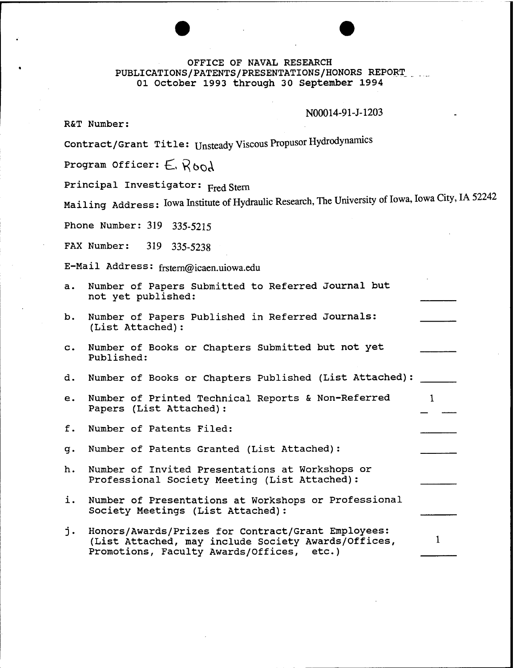#### OFFICE OF NAVAL RESEARCH PUBLICATIONS/PATENTS/PRESENTATIONS/HONORS REPORT 01 October 1993 through 30 September 1994

#### N00014-91-J-1203

 $\mathbf{1}$ 

R&T Number:

Contract/Grant Title: Unsteady Viscous Propusor Hydrodynamics

Program Officer:  $E$ ,  $R$ bod

Principal Investigator: Fred Stern

Mailing Address: Iowa Institute of Hydraulic Research, The University of Iowa, Iowa City, IA 52242

Phone Number: 319 335-5215

FAX Number: 319 335-5238

E-Mail Address: frstern@icaen.uiowa.edu

|  |                    | a. Number of Papers Submitted to Referred Journal but |  |  |
|--|--------------------|-------------------------------------------------------|--|--|
|  | not yet published: |                                                       |  |  |

- b. Number of Papers Published in Referred Journals: (List Attached):
- c. Number of Books or Chapters Submitted but not yet Published:
- d. Number of Books or Chapters Published (List Attached)
- e. Number of Printed Technical Reports & Non-Referred  $\mathbf{1}$ Papers (List Attached):
- f. Number of Patents Filed:

g. Number of Patents Granted (List Attached):

- h. Number of Invited Presentations at Workshops or Professional Society Meeting (List Attached):
- i. Number of Presentations at Workshops or Professional Society Meetings (List Attached):
- j. Honors/Awards/Prizes for Contract/Grant Employees: (List Attached, may include Society Awards/Offices, Promotions, Faculty Awards/Offices, etc.)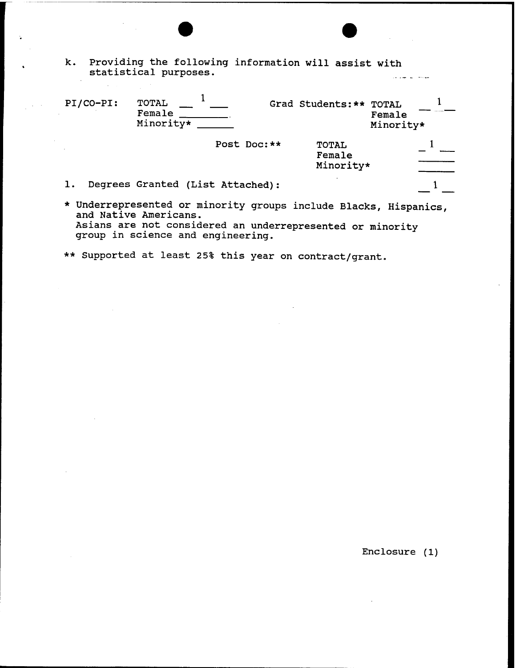|                       |  | k. Providing the following information will assist with |  |  |
|-----------------------|--|---------------------------------------------------------|--|--|
| statistical purposes. |  |                                                         |  |  |

| PI/CO-PI: | TOTAL<br>Female<br>Minority* |                                  |              | Grad Students: **                   | <b>TOTAL</b><br>Female<br>Minority* |  |
|-----------|------------------------------|----------------------------------|--------------|-------------------------------------|-------------------------------------|--|
|           |                              |                                  | Post Doc: ** | <b>TOTAL</b><br>Female<br>Minority* |                                     |  |
|           |                              | Degrees Granted (List Attached): |              |                                     |                                     |  |
|           |                              |                                  |              |                                     |                                     |  |

- \* Underrepresented or minority groups include Blacks, Hispanics, and Native Americans. Asians are not considered an underrepresented or minority group in science and engineering.
- \*\* Supported at least 25% this year on contract/grant.

Enclosure (1)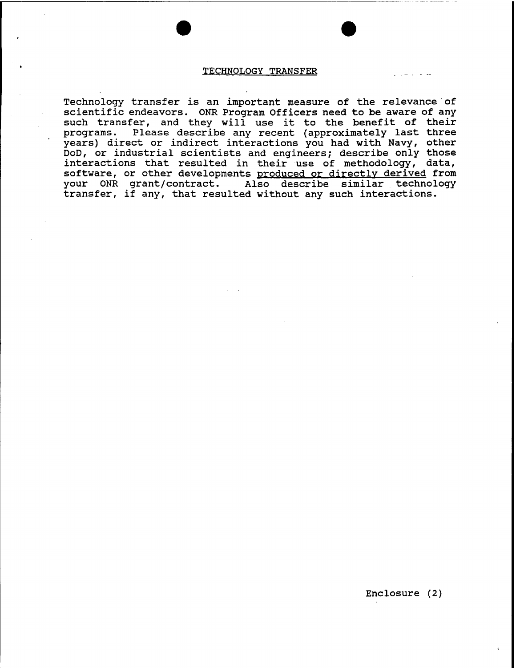#### TECHNOLOGY TRANSFER

Technology transfer is an important measure of the relevance of scientific endeavors. ONR Program Officers need to be aware of any such transfer, and they will use it to the benefit of their programs. Please describe any recent (approximately last three years) direct or indirect interactions you had with Navy, other DoD, or industrial scientists and engineers; describe only those interactions that resulted in their use of methodology, data, software, or other developments produced or directly derived from your ONR grant/contract. Also describe similar technology transfer, if any, that resulted without any such interactions.

Enclosure (2)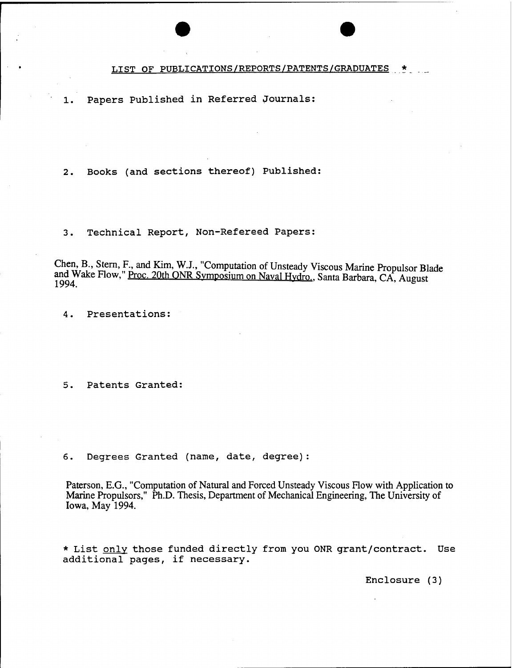LIST OF PUBLICATIONS/REPORTS/PATENTS/GRADUATES

1. Papers Published in Referred Journals:

2. Books (and sections thereof) Published:

3. Technical Report, Non-Refereed Papers:

Chen, B., Stem, F., and Kim, W.J., "Computation of Unsteady Viscous Marine Propulsor Blade and Wake Flow," Proc. 20th ONR Symposium on Naval Hydro., Santa Barbara, CA, August 1994.

4. Presentations:

5. Patents Granted:

6. Degrees Granted (name, date, degree):

Paterson, E.G., "Computation of Natural and Forced Unsteady Viscous Flow with Application to Marine Propulsors," Ph.D. Thesis, Department of Mechanical Engineering, The University of Iowa, May 1994.

\* List only those funded directly from you ONR grant/contract. Use additional pages, if necessary.

Enclosure (3)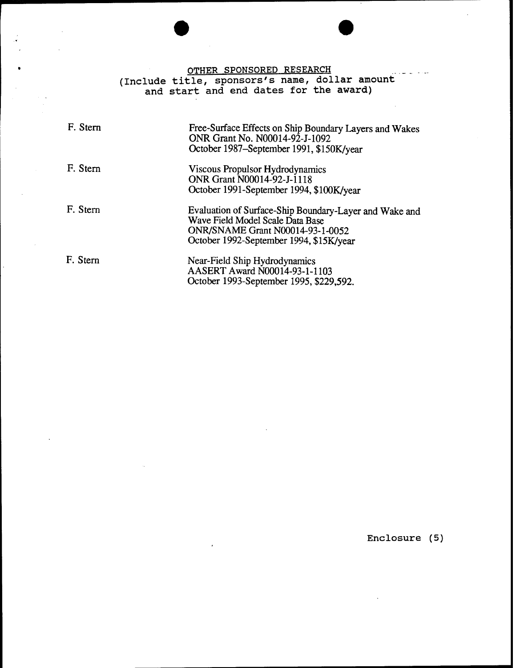OTHER SPONSORED RESEARCH (Include title, sponsors's name, dollar amount and start and end dates for the award)

| F. Stern | Free-Surface Effects on Ship Boundary Layers and Wakes<br>ONR Grant No. N00014-92-J-1092<br>October 1987–September 1991, \$150K/year                                             |
|----------|----------------------------------------------------------------------------------------------------------------------------------------------------------------------------------|
| F. Stern | Viscous Propulsor Hydrodynamics<br>ONR Grant N00014-92-J-1118<br>October 1991-September 1994, \$100K/year                                                                        |
| F. Stern | Evaluation of Surface-Ship Boundary-Layer and Wake and<br>Wave Field Model Scale Data Base<br><b>ONR/SNAME Grant N00014-93-1-0052</b><br>October 1992-September 1994, \$15K/year |
| F. Stern | Near-Field Ship Hydrodynamics<br>AASERT Award N00014-93-1-1103<br>October 1993-September 1995, \$229,592.                                                                        |

Enclosure (5)